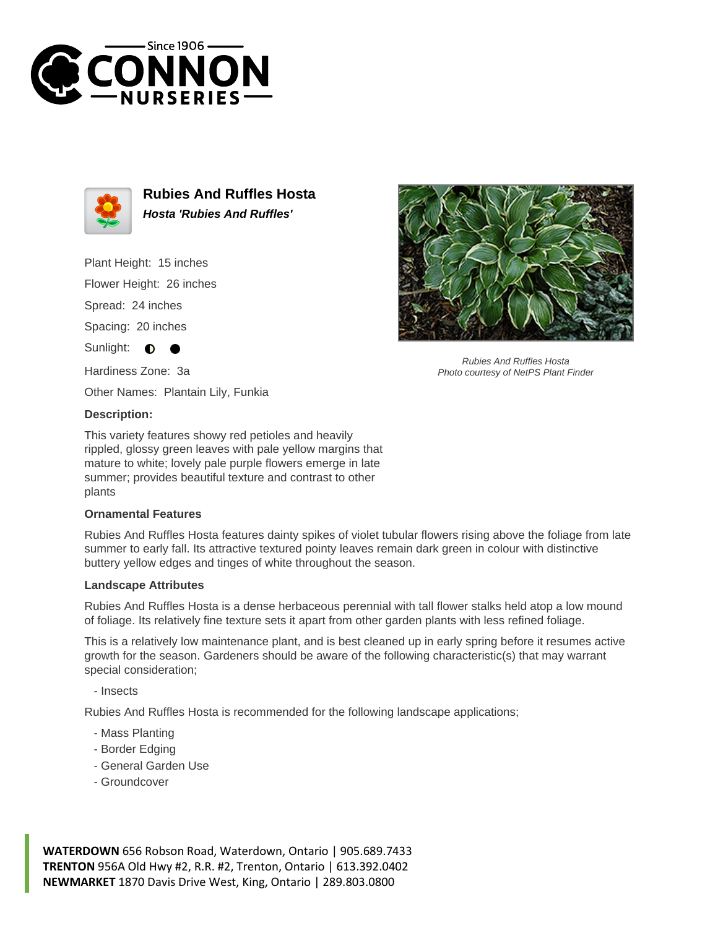



**Rubies And Ruffles Hosta Hosta 'Rubies And Ruffles'**

Plant Height: 15 inches

Flower Height: 26 inches

Spread: 24 inches

Spacing: 20 inches

Sunlight:  $\bullet$ 

Hardiness Zone: 3a

Other Names: Plantain Lily, Funkia

## **Description:**

This variety features showy red petioles and heavily rippled, glossy green leaves with pale yellow margins that mature to white; lovely pale purple flowers emerge in late summer; provides beautiful texture and contrast to other plants

## **Ornamental Features**

Rubies And Ruffles Hosta features dainty spikes of violet tubular flowers rising above the foliage from late summer to early fall. Its attractive textured pointy leaves remain dark green in colour with distinctive buttery yellow edges and tinges of white throughout the season.

## **Landscape Attributes**

Rubies And Ruffles Hosta is a dense herbaceous perennial with tall flower stalks held atop a low mound of foliage. Its relatively fine texture sets it apart from other garden plants with less refined foliage.

This is a relatively low maintenance plant, and is best cleaned up in early spring before it resumes active growth for the season. Gardeners should be aware of the following characteristic(s) that may warrant special consideration;

- Insects

Rubies And Ruffles Hosta is recommended for the following landscape applications;

- Mass Planting
- Border Edging
- General Garden Use
- Groundcover



Rubies And Ruffles Hosta Photo courtesy of NetPS Plant Finder

**WATERDOWN** 656 Robson Road, Waterdown, Ontario | 905.689.7433 **TRENTON** 956A Old Hwy #2, R.R. #2, Trenton, Ontario | 613.392.0402 **NEWMARKET** 1870 Davis Drive West, King, Ontario | 289.803.0800